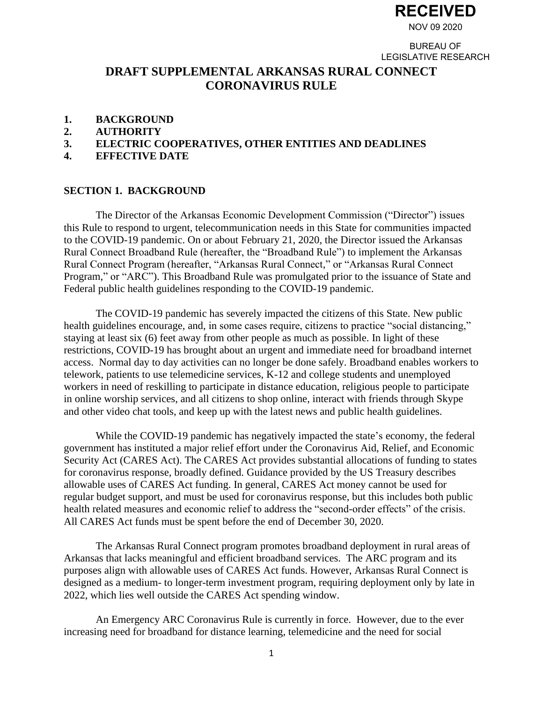

BUREAU OF LEGISLATIVE RESEARCH

# **DRAFT SUPPLEMENTAL ARKANSAS RURAL CONNECT CORONAVIRUS RULE**

- **1. BACKGROUND**
- **2. AUTHORITY**
- **3. ELECTRIC COOPERATIVES, OTHER ENTITIES AND DEADLINES**
- **4. EFFECTIVE DATE**

#### **SECTION 1. BACKGROUND**

The Director of the Arkansas Economic Development Commission ("Director") issues this Rule to respond to urgent, telecommunication needs in this State for communities impacted to the COVID-19 pandemic. On or about February 21, 2020, the Director issued the Arkansas Rural Connect Broadband Rule (hereafter, the "Broadband Rule") to implement the Arkansas Rural Connect Program (hereafter, "Arkansas Rural Connect," or "Arkansas Rural Connect Program," or "ARC"). This Broadband Rule was promulgated prior to the issuance of State and Federal public health guidelines responding to the COVID-19 pandemic.

The COVID-19 pandemic has severely impacted the citizens of this State. New public health guidelines encourage, and, in some cases require, citizens to practice "social distancing," staying at least six (6) feet away from other people as much as possible. In light of these restrictions, COVID-19 has brought about an urgent and immediate need for broadband internet access. Normal day to day activities can no longer be done safely. Broadband enables workers to telework, patients to use telemedicine services, K-12 and college students and unemployed workers in need of reskilling to participate in distance education, religious people to participate in online worship services, and all citizens to shop online, interact with friends through Skype and other video chat tools, and keep up with the latest news and public health guidelines.

While the COVID-19 pandemic has negatively impacted the state's economy, the federal government has instituted a major relief effort under the Coronavirus Aid, Relief, and Economic Security Act (CARES Act). The CARES Act provides substantial allocations of funding to states for coronavirus response, broadly defined. Guidance provided by the US Treasury describes allowable uses of CARES Act funding. In general, CARES Act money cannot be used for regular budget support, and must be used for coronavirus response, but this includes both public health related measures and economic relief to address the "second-order effects" of the crisis. All CARES Act funds must be spent before the end of December 30, 2020.

The Arkansas Rural Connect program promotes broadband deployment in rural areas of Arkansas that lacks meaningful and efficient broadband services. The ARC program and its purposes align with allowable uses of CARES Act funds. However, Arkansas Rural Connect is designed as a medium- to longer-term investment program, requiring deployment only by late in 2022, which lies well outside the CARES Act spending window.

An Emergency ARC Coronavirus Rule is currently in force. However, due to the ever increasing need for broadband for distance learning, telemedicine and the need for social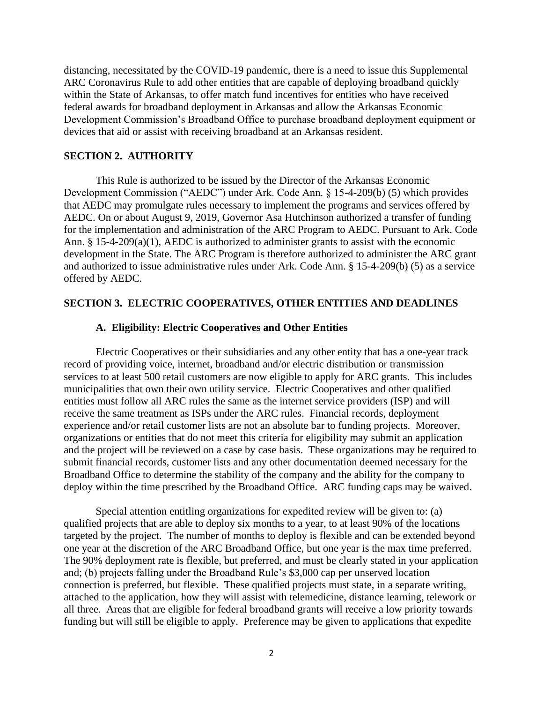distancing, necessitated by the COVID-19 pandemic, there is a need to issue this Supplemental ARC Coronavirus Rule to add other entities that are capable of deploying broadband quickly within the State of Arkansas, to offer match fund incentives for entities who have received federal awards for broadband deployment in Arkansas and allow the Arkansas Economic Development Commission's Broadband Office to purchase broadband deployment equipment or devices that aid or assist with receiving broadband at an Arkansas resident.

#### **SECTION 2. AUTHORITY**

This Rule is authorized to be issued by the Director of the Arkansas Economic Development Commission ("AEDC") under Ark. Code Ann. § 15-4-209(b) (5) which provides that AEDC may promulgate rules necessary to implement the programs and services offered by AEDC. On or about August 9, 2019, Governor Asa Hutchinson authorized a transfer of funding for the implementation and administration of the ARC Program to AEDC. Pursuant to Ark. Code Ann. § 15-4-209(a)(1), AEDC is authorized to administer grants to assist with the economic development in the State. The ARC Program is therefore authorized to administer the ARC grant and authorized to issue administrative rules under Ark. Code Ann. § 15-4-209(b) (5) as a service offered by AEDC.

## **SECTION 3. ELECTRIC COOPERATIVES, OTHER ENTITIES AND DEADLINES**

## **A. Eligibility: Electric Cooperatives and Other Entities**

Electric Cooperatives or their subsidiaries and any other entity that has a one-year track record of providing voice, internet, broadband and/or electric distribution or transmission services to at least 500 retail customers are now eligible to apply for ARC grants. This includes municipalities that own their own utility service. Electric Cooperatives and other qualified entities must follow all ARC rules the same as the internet service providers (ISP) and will receive the same treatment as ISPs under the ARC rules. Financial records, deployment experience and/or retail customer lists are not an absolute bar to funding projects. Moreover, organizations or entities that do not meet this criteria for eligibility may submit an application and the project will be reviewed on a case by case basis. These organizations may be required to submit financial records, customer lists and any other documentation deemed necessary for the Broadband Office to determine the stability of the company and the ability for the company to deploy within the time prescribed by the Broadband Office. ARC funding caps may be waived.

Special attention entitling organizations for expedited review will be given to: (a) qualified projects that are able to deploy six months to a year, to at least 90% of the locations targeted by the project. The number of months to deploy is flexible and can be extended beyond one year at the discretion of the ARC Broadband Office, but one year is the max time preferred. The 90% deployment rate is flexible, but preferred, and must be clearly stated in your application and; (b) projects falling under the Broadband Rule's \$3,000 cap per unserved location connection is preferred, but flexible. These qualified projects must state, in a separate writing, attached to the application, how they will assist with telemedicine, distance learning, telework or all three. Areas that are eligible for federal broadband grants will receive a low priority towards funding but will still be eligible to apply. Preference may be given to applications that expedite